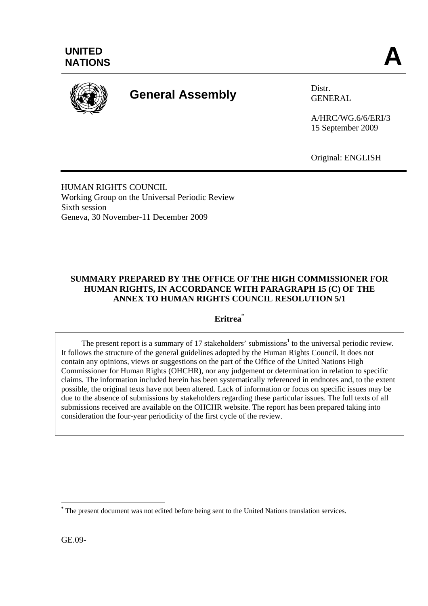

# **General Assembly** Distr.

GENERAL

A/HRC/WG.6/6/ERI/3 15 September 2009

Original: ENGLISH

HUMAN RIGHTS COUNCIL Working Group on the Universal Periodic Review Sixth session Geneva, 30 November-11 December 2009

# **SUMMARY PREPARED BY THE OFFICE OF THE HIGH COMMISSIONER FOR HUMAN RIGHTS, IN ACCORDANCE WITH PARAGRAPH 15 (C) OF THE ANNEX TO HUMAN RIGHTS COUNCIL RESOLUTION 5/1**

**Eritrea**\*

The present report is a summary of 17 stakeholders' submissions<sup>1</sup> to the universal periodic review. It follows the structure of the general guidelines adopted by the Human Rights Council. It does not contain any opinions, views or suggestions on the part of the Office of the United Nations High Commissioner for Human Rights (OHCHR), nor any judgement or determination in relation to specific claims. The information included herein has been systematically referenced in endnotes and, to the extent possible, the original texts have not been altered. Lack of information or focus on specific issues may be due to the absence of submissions by stakeholders regarding these particular issues. The full texts of all submissions received are available on the OHCHR website. The report has been prepared taking into consideration the four-year periodicity of the first cycle of the review.

GE.09-

 $\overline{a}$ **\*** The present document was not edited before being sent to the United Nations translation services.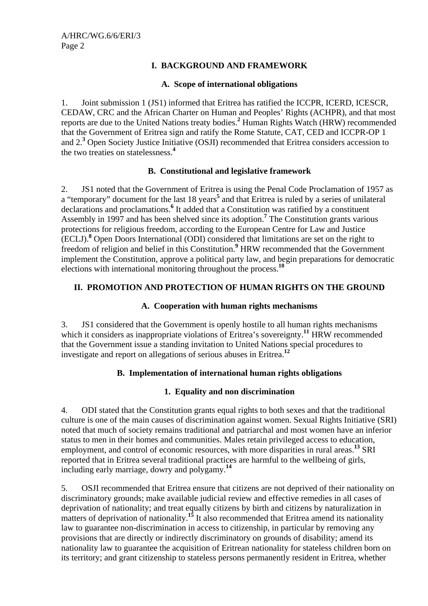# **I. BACKGROUND AND FRAMEWORK**

#### **A. Scope of international obligations**

1. Joint submission 1 (JS1) informed that Eritrea has ratified the ICCPR, ICERD, ICESCR, CEDAW, CRC and the African Charter on Human and Peoples' Rights (ACHPR), and that most reports are due to the United Nations treaty bodies.**<sup>2</sup>** Human Rights Watch (HRW) recommended that the Government of Eritrea sign and ratify the Rome Statute, CAT, CED and ICCPR-OP 1 and 2.**<sup>3</sup>** Open Society Justice Initiative (OSJI) recommended that Eritrea considers accession to the two treaties on statelessness.**<sup>4</sup>**

#### **B. Constitutional and legislative framework**

2. JS1 noted that the Government of Eritrea is using the Penal Code Proclamation of 1957 as a "temporary" document for the last 18 years<sup>5</sup> and that Eritrea is ruled by a series of unilateral declarations and proclamations.<sup>6</sup> It added that a Constitution was ratified by a constituent Assembly in 1997 and has been shelved since its adoption.**<sup>7</sup>** The Constitution grants various protections for religious freedom, according to the European Centre for Law and Justice (ECLJ).**<sup>8</sup>** Open Doors International (ODI) considered that limitations are set on the right to freedom of religion and belief in this Constitution.<sup>9</sup> HRW recommended that the Government implement the Constitution, approve a political party law, and begin preparations for democratic elections with international monitoring throughout the process.**<sup>10</sup>**

## **II. PROMOTION AND PROTECTION OF HUMAN RIGHTS ON THE GROUND**

#### **A. Cooperation with human rights mechanisms**

3. JS1 considered that the Government is openly hostile to all human rights mechanisms which it considers as inappropriate violations of Eritrea's sovereignty.<sup>11</sup> HRW recommended that the Government issue a standing invitation to United Nations special procedures to investigate and report on allegations of serious abuses in Eritrea.**<sup>12</sup>**

# **B. Implementation of international human rights obligations**

#### **1. Equality and non discrimination**

4. ODI stated that the Constitution grants equal rights to both sexes and that the traditional culture is one of the main causes of discrimination against women. Sexual Rights Initiative (SRI) noted that much of society remains traditional and patriarchal and most women have an inferior status to men in their homes and communities. Males retain privileged access to education, employment, and control of economic resources, with more disparities in rural areas.**<sup>13</sup>** SRI reported that in Eritrea several traditional practices are harmful to the wellbeing of girls, including early marriage, dowry and polygamy.**<sup>14</sup>**

5. OSJI recommended that Eritrea ensure that citizens are not deprived of their nationality on discriminatory grounds; make available judicial review and effective remedies in all cases of deprivation of nationality; and treat equally citizens by birth and citizens by naturalization in matters of deprivation of nationality.<sup>15</sup> It also recommended that Eritrea amend its nationality law to guarantee non-discrimination in access to citizenship, in particular by removing any provisions that are directly or indirectly discriminatory on grounds of disability; amend its nationality law to guarantee the acquisition of Eritrean nationality for stateless children born on its territory; and grant citizenship to stateless persons permanently resident in Eritrea, whether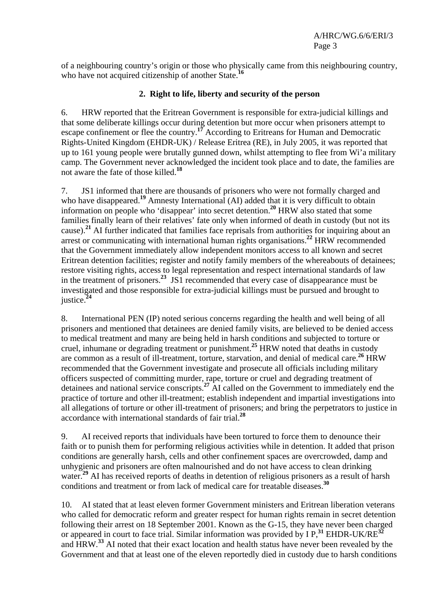of a neighbouring country's origin or those who physically came from this neighbouring country, who have not acquired citizenship of another State.<sup>16</sup>

#### **2. Right to life, liberty and security of the person**

6. HRW reported that the Eritrean Government is responsible for extra-judicial killings and that some deliberate killings occur during detention but more occur when prisoners attempt to escape confinement or flee the country.**<sup>17</sup>** According to Eritreans for Human and Democratic Rights-United Kingdom (EHDR-UK) / Release Eritrea (RE), in July 2005, it was reported that up to 161 young people were brutally gunned down, whilst attempting to flee from Wi'a military camp. The Government never acknowledged the incident took place and to date, the families are not aware the fate of those killed.**<sup>18</sup>**

7. JS1 informed that there are thousands of prisoners who were not formally charged and who have disappeared.<sup>19</sup> Amnesty International (AI) added that it is very difficult to obtain information on people who 'disappear' into secret detention.**<sup>20</sup>** HRW also stated that some families finally learn of their relatives' fate only when informed of death in custody (but not its cause).**<sup>21</sup>** AI further indicated that families face reprisals from authorities for inquiring about an arrest or communicating with international human rights organisations.**<sup>22</sup>** HRW recommended that the Government immediately allow independent monitors access to all known and secret Eritrean detention facilities; register and notify family members of the whereabouts of detainees; restore visiting rights, access to legal representation and respect international standards of law in the treatment of prisoners.**<sup>23</sup>** JS1 recommended that every case of disappearance must be investigated and those responsible for extra-judicial killings must be pursued and brought to justice.**<sup>24</sup>**

8. International PEN (IP) noted serious concerns regarding the health and well being of all prisoners and mentioned that detainees are denied family visits, are believed to be denied access to medical treatment and many are being held in harsh conditions and subjected to torture or cruel, inhumane or degrading treatment or punishment.**<sup>25</sup>** HRW noted that deaths in custody are common as a result of ill-treatment, torture, starvation, and denial of medical care.**<sup>26</sup>** HRW recommended that the Government investigate and prosecute all officials including military officers suspected of committing murder, rape, torture or cruel and degrading treatment of detainees and national service conscripts.**<sup>27</sup>** AI called on the Government to immediately end the practice of torture and other ill-treatment; establish independent and impartial investigations into all allegations of torture or other ill-treatment of prisoners; and bring the perpetrators to justice in accordance with international standards of fair trial.**<sup>28</sup>**

9. AI received reports that individuals have been tortured to force them to denounce their faith or to punish them for performing religious activities while in detention. It added that prison conditions are generally harsh, cells and other confinement spaces are overcrowded, damp and unhygienic and prisoners are often malnourished and do not have access to clean drinking water.<sup>29</sup> AI has received reports of deaths in detention of religious prisoners as a result of harsh conditions and treatment or from lack of medical care for treatable diseases.**<sup>30</sup>**

10. AI stated that at least eleven former Government ministers and Eritrean liberation veterans who called for democratic reform and greater respect for human rights remain in secret detention following their arrest on 18 September 2001. Known as the G-15, they have never been charged or appeared in court to face trial. Similar information was provided by I P,**<sup>31</sup>** EHDR-UK/RE**<sup>32</sup>** and HRW.**<sup>33</sup>** AI noted that their exact location and health status have never been revealed by the Government and that at least one of the eleven reportedly died in custody due to harsh conditions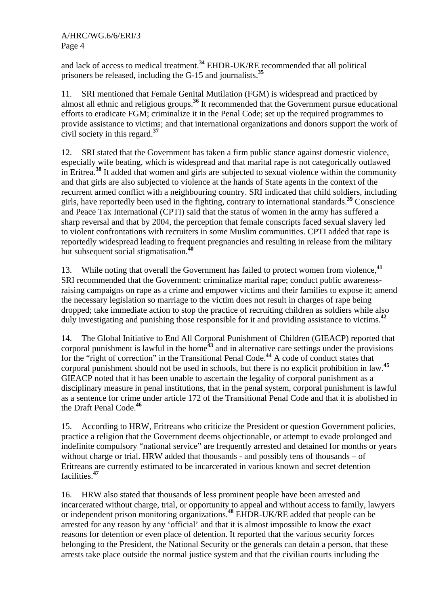and lack of access to medical treatment.**<sup>34</sup>** EHDR-UK/RE recommended that all political prisoners be released, including the G-15 and journalists.**<sup>35</sup>**

11. SRI mentioned that Female Genital Mutilation (FGM) is widespread and practiced by almost all ethnic and religious groups.**<sup>36</sup>** It recommended that the Government pursue educational efforts to eradicate FGM; criminalize it in the Penal Code; set up the required programmes to provide assistance to victims; and that international organizations and donors support the work of civil society in this regard.**<sup>37</sup>**

12. SRI stated that the Government has taken a firm public stance against domestic violence, especially wife beating, which is widespread and that marital rape is not categorically outlawed in Eritrea.**<sup>38</sup>** It added that women and girls are subjected to sexual violence within the community and that girls are also subjected to violence at the hands of State agents in the context of the recurrent armed conflict with a neighbouring country. SRI indicated that child soldiers, including girls, have reportedly been used in the fighting, contrary to international standards.**<sup>39</sup>** Conscience and Peace Tax International (CPTI) said that the status of women in the army has suffered a sharp reversal and that by 2004, the perception that female conscripts faced sexual slavery led to violent confrontations with recruiters in some Muslim communities. CPTI added that rape is reportedly widespread leading to frequent pregnancies and resulting in release from the military but subsequent social stigmatisation.<sup>4</sup>

13. While noting that overall the Government has failed to protect women from violence,**<sup>41</sup>** SRI recommended that the Government: criminalize marital rape; conduct public awarenessraising campaigns on rape as a crime and empower victims and their families to expose it; amend the necessary legislation so marriage to the victim does not result in charges of rape being dropped; take immediate action to stop the practice of recruiting children as soldiers while also duly investigating and punishing those responsible for it and providing assistance to victims.**<sup>42</sup>**

14. The Global Initiative to End All Corporal Punishment of Children (GIEACP) reported that corporal punishment is lawful in the home**<sup>43</sup>** and in alternative care settings under the provisions for the "right of correction" in the Transitional Penal Code.**<sup>44</sup>** A code of conduct states that corporal punishment should not be used in schools, but there is no explicit prohibition in law.**<sup>45</sup>** GIEACP noted that it has been unable to ascertain the legality of corporal punishment as a disciplinary measure in penal institutions, that in the penal system, corporal punishment is lawful as a sentence for crime under article 172 of the Transitional Penal Code and that it is abolished in the Draft Penal Code.**<sup>46</sup>**

15. According to HRW, Eritreans who criticize the President or question Government policies, practice a religion that the Government deems objectionable, or attempt to evade prolonged and indefinite compulsory "national service" are frequently arrested and detained for months or years without charge or trial. HRW added that thousands - and possibly tens of thousands – of Eritreans are currently estimated to be incarcerated in various known and secret detention facilities.**<sup>47</sup>**

16. HRW also stated that thousands of less prominent people have been arrested and incarcerated without charge, trial, or opportunity to appeal and without access to family, lawyers or independent prison monitoring organizations.**<sup>48</sup>** EHDR-UK/RE added that people can be arrested for any reason by any 'official' and that it is almost impossible to know the exact reasons for detention or even place of detention. It reported that the various security forces belonging to the President, the National Security or the generals can detain a person, that these arrests take place outside the normal justice system and that the civilian courts including the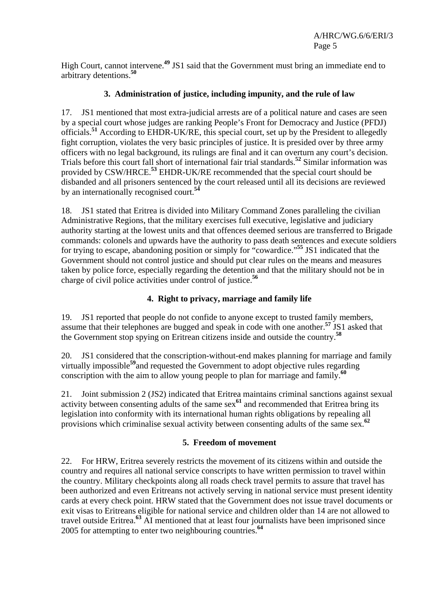High Court, cannot intervene.**<sup>49</sup>** JS1 said that the Government must bring an immediate end to arbitrary detentions.**<sup>50</sup>**

# **3. Administration of justice, including impunity, and the rule of law**

17. JS1 mentioned that most extra-judicial arrests are of a political nature and cases are seen by a special court whose judges are ranking People's Front for Democracy and Justice (PFDJ) officials.**<sup>51</sup>** According to EHDR-UK/RE, this special court, set up by the President to allegedly fight corruption, violates the very basic principles of justice. It is presided over by three army officers with no legal background, its rulings are final and it can overturn any court's decision. Trials before this court fall short of international fair trial standards.**<sup>52</sup>** Similar information was provided by CSW/HRCE.**<sup>53</sup>** EHDR-UK/RE recommended that the special court should be disbanded and all prisoners sentenced by the court released until all its decisions are reviewed by an internationally recognised court.**<sup>54</sup>**

18. JS1 stated that Eritrea is divided into Military Command Zones paralleling the civilian Administrative Regions, that the military exercises full executive, legislative and judiciary authority starting at the lowest units and that offences deemed serious are transferred to Brigade commands: colonels and upwards have the authority to pass death sentences and execute soldiers for trying to escape, abandoning position or simply for "cowardice."**<sup>55</sup>** JS1 indicated that the Government should not control justice and should put clear rules on the means and measures taken by police force, especially regarding the detention and that the military should not be in charge of civil police activities under control of justice.**<sup>56</sup>**

# **4. Right to privacy, marriage and family life**

19. JS1 reported that people do not confide to anyone except to trusted family members, assume that their telephones are bugged and speak in code with one another.**<sup>57</sup>** JS1 asked that the Government stop spying on Eritrean citizens inside and outside the country.**<sup>58</sup>**

20. JS1 considered that the conscription-without-end makes planning for marriage and family virtually impossible**<sup>59</sup>**and requested the Government to adopt objective rules regarding conscription with the aim to allow young people to plan for marriage and family.**<sup>60</sup>**

21. Joint submission 2 (JS2) indicated that Eritrea maintains criminal sanctions against sexual activity between consenting adults of the same sex**<sup>61</sup>** and recommended that Eritrea bring its legislation into conformity with its international human rights obligations by repealing all provisions which criminalise sexual activity between consenting adults of the same sex.**<sup>62</sup>**

#### **5. Freedom of movement**

22. For HRW, Eritrea severely restricts the movement of its citizens within and outside the country and requires all national service conscripts to have written permission to travel within the country. Military checkpoints along all roads check travel permits to assure that travel has been authorized and even Eritreans not actively serving in national service must present identity cards at every check point. HRW stated that the Government does not issue travel documents or exit visas to Eritreans eligible for national service and children older than 14 are not allowed to travel outside Eritrea.**<sup>63</sup>** AI mentioned that at least four journalists have been imprisoned since 2005 for attempting to enter two neighbouring countries.**<sup>64</sup>**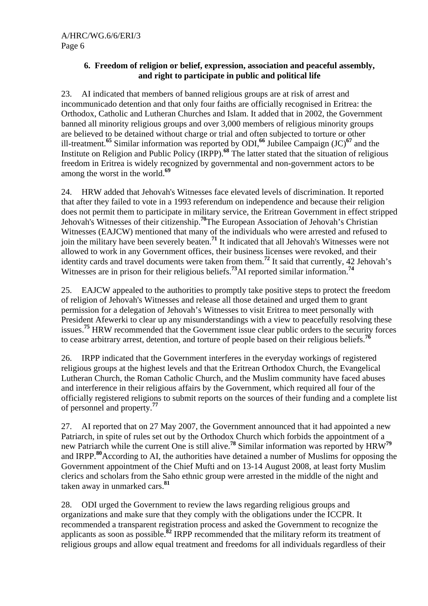#### **6. Freedom of religion or belief, expression, association and peaceful assembly, and right to participate in public and political life**

23. AI indicated that members of banned religious groups are at risk of arrest and incommunicado detention and that only four faiths are officially recognised in Eritrea: the Orthodox, Catholic and Lutheran Churches and Islam. It added that in 2002, the Government banned all minority religious groups and over 3,000 members of religious minority groups are believed to be detained without charge or trial and often subjected to torture or other ill-treatment.**<sup>65</sup>** Similar information was reported by ODI,**<sup>66</sup>** Jubilee Campaign (JC)**<sup>67</sup>** and the Institute on Religion and Public Policy (IRPP).**<sup>68</sup>** The latter stated that the situation of religious freedom in Eritrea is widely recognized by governmental and non-government actors to be among the worst in the world.**<sup>69</sup>**

24. HRW added that Jehovah's Witnesses face elevated levels of discrimination. It reported that after they failed to vote in a 1993 referendum on independence and because their religion does not permit them to participate in military service, the Eritrean Government in effect stripped Jehovah's Witnesses of their citizenship.**<sup>70</sup>**The European Association of Jehovah's Christian Witnesses (EAJCW) mentioned that many of the individuals who were arrested and refused to join the military have been severely beaten.**<sup>71</sup>** It indicated that all Jehovah's Witnesses were not allowed to work in any Government offices, their business licenses were revoked, and their identity cards and travel documents were taken from them.**<sup>72</sup>** It said that currently, 42 Jehovah's Witnesses are in prison for their religious beliefs.**<sup>73</sup>**AI reported similar information.**<sup>74</sup>**

25. EAJCW appealed to the authorities to promptly take positive steps to protect the freedom of religion of Jehovah's Witnesses and release all those detained and urged them to grant permission for a delegation of Jehovah's Witnesses to visit Eritrea to meet personally with President Afewerki to clear up any misunderstandings with a view to peacefully resolving these issues.**<sup>75</sup>** HRW recommended that the Government issue clear public orders to the security forces to cease arbitrary arrest, detention, and torture of people based on their religious beliefs.**<sup>76</sup>**

26. IRPP indicated that the Government interferes in the everyday workings of registered religious groups at the highest levels and that the Eritrean Orthodox Church, the Evangelical Lutheran Church, the Roman Catholic Church, and the Muslim community have faced abuses and interference in their religious affairs by the Government, which required all four of the officially registered religions to submit reports on the sources of their funding and a complete list of personnel and property.**<sup>77</sup>**

27. AI reported that on 27 May 2007, the Government announced that it had appointed a new Patriarch, in spite of rules set out by the Orthodox Church which forbids the appointment of a new Patriarch while the current One is still alive.**<sup>78</sup>** Similar information was reported by HRW**<sup>79</sup>** and IRPP.**<sup>80</sup>**According to AI, the authorities have detained a number of Muslims for opposing the Government appointment of the Chief Mufti and on 13-14 August 2008, at least forty Muslim clerics and scholars from the Saho ethnic group were arrested in the middle of the night and taken away in unmarked cars.**<sup>81</sup>**

28. ODI urged the Government to review the laws regarding religious groups and organizations and make sure that they comply with the obligations under the ICCPR. It recommended a transparent registration process and asked the Government to recognize the applicants as soon as possible.**<sup>82</sup>** IRPP recommended that the military reform its treatment of religious groups and allow equal treatment and freedoms for all individuals regardless of their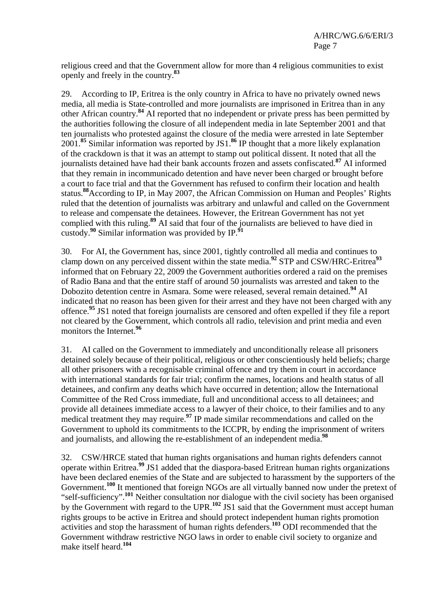religious creed and that the Government allow for more than 4 religious communities to exist openly and freely in the country.**<sup>83</sup>**

29. According to IP, Eritrea is the only country in Africa to have no privately owned news media, all media is State-controlled and more journalists are imprisoned in Eritrea than in any other African country.**<sup>84</sup>** AI reported that no independent or private press has been permitted by the authorities following the closure of all independent media in late September 2001 and that ten journalists who protested against the closure of the media were arrested in late September 2001.**<sup>85</sup>** Similar information was reported by JS1.**<sup>86</sup>** IP thought that a more likely explanation of the crackdown is that it was an attempt to stamp out political dissent. It noted that all the journalists detained have had their bank accounts frozen and assets confiscated.**<sup>87</sup>** AI informed that they remain in incommunicado detention and have never been charged or brought before a court to face trial and that the Government has refused to confirm their location and health status.**<sup>88</sup>**According to IP, in May 2007, the African Commission on Human and Peoples' Rights ruled that the detention of journalists was arbitrary and unlawful and called on the Government to release and compensate the detainees. However, the Eritrean Government has not yet complied with this ruling.<sup>89</sup> AI said that four of the journalists are believed to have died in custody.**<sup>90</sup>** Similar information was provided by IP.**<sup>91</sup>**

30. For AI, the Government has, since 2001, tightly controlled all media and continues to clamp down on any perceived dissent within the state media.**<sup>92</sup>** STP and CSW/HRC-Eritrea**<sup>93</sup>** informed that on February 22, 2009 the Government authorities ordered a raid on the premises of Radio Bana and that the entire staff of around 50 journalists was arrested and taken to the Dobozito detention centre in Asmara. Some were released, several remain detained.**<sup>94</sup>** AI indicated that no reason has been given for their arrest and they have not been charged with any offence.**<sup>95</sup>** JS1 noted that foreign journalists are censored and often expelled if they file a report not cleared by the Government, which controls all radio, television and print media and even monitors the Internet.**<sup>96</sup>**

31. AI called on the Government to immediately and unconditionally release all prisoners detained solely because of their political, religious or other conscientiously held beliefs; charge all other prisoners with a recognisable criminal offence and try them in court in accordance with international standards for fair trial; confirm the names, locations and health status of all detainees, and confirm any deaths which have occurred in detention; allow the International Committee of the Red Cross immediate, full and unconditional access to all detainees; and provide all detainees immediate access to a lawyer of their choice, to their families and to any medical treatment they may require.**<sup>97</sup>** IP made similar recommendations and called on the Government to uphold its commitments to the ICCPR, by ending the imprisonment of writers and journalists, and allowing the re-establishment of an independent media.**<sup>98</sup>**

32. CSW/HRCE stated that human rights organisations and human rights defenders cannot operate within Eritrea.**<sup>99</sup>** JS1 added that the diaspora-based Eritrean human rights organizations have been declared enemies of the State and are subjected to harassment by the supporters of the Government.**<sup>100</sup>** It mentioned that foreign NGOs are all virtually banned now under the pretext of "self-sufficiency".**<sup>101</sup>** Neither consultation nor dialogue with the civil society has been organised by the Government with regard to the UPR.**<sup>102</sup>** JS1 said that the Government must accept human rights groups to be active in Eritrea and should protect independent human rights promotion activities and stop the harassment of human rights defenders.**<sup>103</sup>** ODI recommended that the Government withdraw restrictive NGO laws in order to enable civil society to organize and make itself heard.**<sup>104</sup>**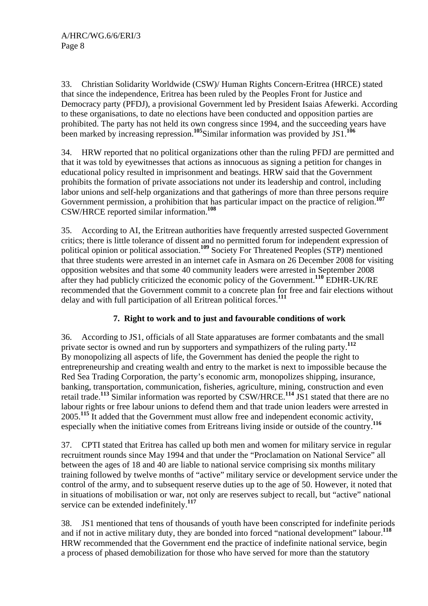33. Christian Solidarity Worldwide (CSW)/ Human Rights Concern-Eritrea (HRCE) stated that since the independence, Eritrea has been ruled by the Peoples Front for Justice and Democracy party (PFDJ), a provisional Government led by President Isaias Afewerki. According to these organisations, to date no elections have been conducted and opposition parties are prohibited. The party has not held its own congress since 1994, and the succeeding years have been marked by increasing repression.**<sup>105</sup>**Similar information was provided by JS1.**<sup>106</sup>**

34. HRW reported that no political organizations other than the ruling PFDJ are permitted and that it was told by eyewitnesses that actions as innocuous as signing a petition for changes in educational policy resulted in imprisonment and beatings. HRW said that the Government prohibits the formation of private associations not under its leadership and control, including labor unions and self-help organizations and that gatherings of more than three persons require Government permission, a prohibition that has particular impact on the practice of religion.**<sup>107</sup>** CSW/HRCE reported similar information.**<sup>108</sup>**

35. According to AI, the Eritrean authorities have frequently arrested suspected Government critics; there is little tolerance of dissent and no permitted forum for independent expression of political opinion or political association.**<sup>109</sup>** Society For Threatened Peoples (STP) mentioned that three students were arrested in an internet cafe in Asmara on 26 December 2008 for visiting opposition websites and that some 40 community leaders were arrested in September 2008 after they had publicly criticized the economic policy of the Government.**<sup>110</sup>** EDHR-UK/RE recommended that the Government commit to a concrete plan for free and fair elections without delay and with full participation of all Eritrean political forces.**<sup>111</sup>**

# **7. Right to work and to just and favourable conditions of work**

36. According to JS1, officials of all State apparatuses are former combatants and the small private sector is owned and run by supporters and sympathizers of the ruling party.**<sup>112</sup>** By monopolizing all aspects of life, the Government has denied the people the right to entrepreneurship and creating wealth and entry to the market is next to impossible because the Red Sea Trading Corporation, the party's economic arm, monopolizes shipping, insurance, banking, transportation, communication, fisheries, agriculture, mining, construction and even retail trade.**<sup>113</sup>** Similar information was reported by CSW/HRCE.**<sup>114</sup>** JS1 stated that there are no labour rights or free labour unions to defend them and that trade union leaders were arrested in 2005.<sup>115</sup> It added that the Government must allow free and independent economic activity, especially when the initiative comes from Eritreans living inside or outside of the country.**<sup>116</sup>**

37. CPTI stated that Eritrea has called up both men and women for military service in regular recruitment rounds since May 1994 and that under the "Proclamation on National Service" all between the ages of 18 and 40 are liable to national service comprising six months military training followed by twelve months of "active" military service or development service under the control of the army, and to subsequent reserve duties up to the age of 50. However, it noted that in situations of mobilisation or war, not only are reserves subject to recall, but "active" national service can be extended indefinitely.**<sup>117</sup>**

38. JS1 mentioned that tens of thousands of youth have been conscripted for indefinite periods and if not in active military duty, they are bonded into forced "national development" labour.**<sup>118</sup>** HRW recommended that the Government end the practice of indefinite national service, begin a process of phased demobilization for those who have served for more than the statutory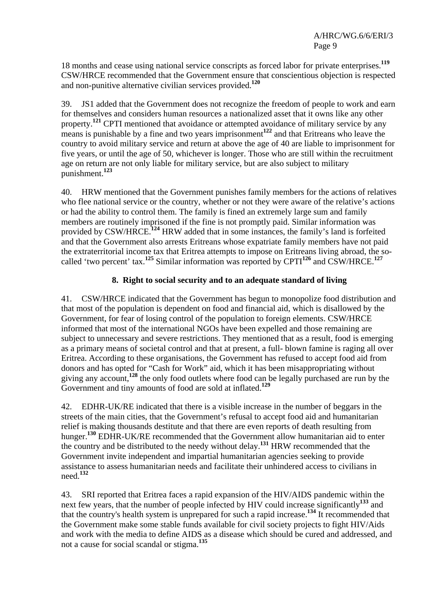18 months and cease using national service conscripts as forced labor for private enterprises.**<sup>119</sup>** CSW/HRCE recommended that the Government ensure that conscientious objection is respected and non-punitive alternative civilian services provided.**<sup>120</sup>**

39. JS1 added that the Government does not recognize the freedom of people to work and earn for themselves and considers human resources a nationalized asset that it owns like any other property.<sup>121</sup> CPTI mentioned that avoidance or attempted avoidance of military service by any means is punishable by a fine and two years imprisonment<sup>122</sup> and that Eritreans who leave the country to avoid military service and return at above the age of 40 are liable to imprisonment for five years, or until the age of 50, whichever is longer. Those who are still within the recruitment age on return are not only liable for military service, but are also subject to military punishment.**<sup>123</sup>**

40. HRW mentioned that the Government punishes family members for the actions of relatives who flee national service or the country, whether or not they were aware of the relative's actions or had the ability to control them. The family is fined an extremely large sum and family members are routinely imprisoned if the fine is not promptly paid. Similar information was provided by CSW/HRCE.<sup>124</sup> HRW added that in some instances, the family's land is forfeited and that the Government also arrests Eritreans whose expatriate family members have not paid the extraterritorial income tax that Eritrea attempts to impose on Eritreans living abroad, the socalled 'two percent' tax.**<sup>125</sup>** Similar information was reported by CPTI**<sup>126</sup>** and CSW/HRCE.**<sup>127</sup>**

## **8. Right to social security and to an adequate standard of living**

41. CSW/HRCE indicated that the Government has begun to monopolize food distribution and that most of the population is dependent on food and financial aid, which is disallowed by the Government, for fear of losing control of the population to foreign elements. CSW/HRCE informed that most of the international NGOs have been expelled and those remaining are subject to unnecessary and severe restrictions. They mentioned that as a result, food is emerging as a primary means of societal control and that at present, a full- blown famine is raging all over Eritrea. According to these organisations, the Government has refused to accept food aid from donors and has opted for "Cash for Work" aid, which it has been misappropriating without giving any account,**<sup>128</sup>** the only food outlets where food can be legally purchased are run by the Government and tiny amounts of food are sold at inflated.**<sup>129</sup>**

42. EDHR-UK/RE indicated that there is a visible increase in the number of beggars in the streets of the main cities, that the Government's refusal to accept food aid and humanitarian relief is making thousands destitute and that there are even reports of death resulting from hunger.**<sup>130</sup>** EDHR-UK/RE recommended that the Government allow humanitarian aid to enter the country and be distributed to the needy without delay.**<sup>131</sup>** HRW recommended that the Government invite independent and impartial humanitarian agencies seeking to provide assistance to assess humanitarian needs and facilitate their unhindered access to civilians in need.**<sup>132</sup>**

43. SRI reported that Eritrea faces a rapid expansion of the HIV/AIDS pandemic within the next few years, that the number of people infected by HIV could increase significantly**<sup>133</sup>** and that the country's health system is unprepared for such a rapid increase.**<sup>134</sup>** It recommended that the Government make some stable funds available for civil society projects to fight HIV/Aids and work with the media to define AIDS as a disease which should be cured and addressed, and not a cause for social scandal or stigma.**<sup>135</sup>**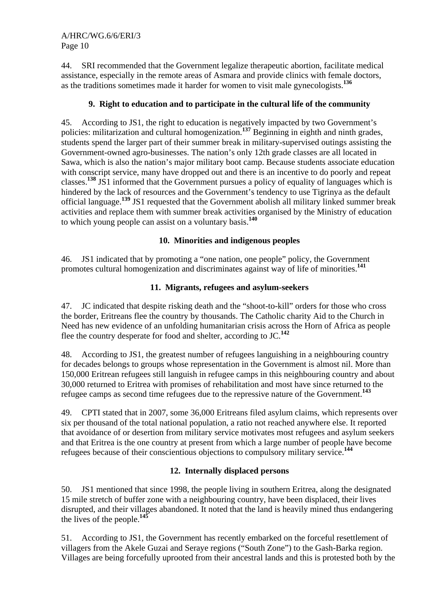44. SRI recommended that the Government legalize therapeutic abortion, facilitate medical assistance, especially in the remote areas of Asmara and provide clinics with female doctors, as the traditions sometimes made it harder for women to visit male gynecologists.**<sup>136</sup>**

# **9. Right to education and to participate in the cultural life of the community**

45. According to JS1, the right to education is negatively impacted by two Government's policies: militarization and cultural homogenization.**<sup>137</sup>** Beginning in eighth and ninth grades, students spend the larger part of their summer break in military-supervised outings assisting the Government-owned agro-businesses. The nation's only 12th grade classes are all located in Sawa, which is also the nation's major military boot camp. Because students associate education with conscript service, many have dropped out and there is an incentive to do poorly and repeat classes.**<sup>138</sup>** JS1 informed that the Government pursues a policy of equality of languages which is hindered by the lack of resources and the Government's tendency to use Tigrinya as the default official language.**<sup>139</sup>** JS1 requested that the Government abolish all military linked summer break activities and replace them with summer break activities organised by the Ministry of education to which young people can assist on a voluntary basis.**<sup>140</sup>**

## **10. Minorities and indigenous peoples**

46. JS1 indicated that by promoting a "one nation, one people" policy, the Government promotes cultural homogenization and discriminates against way of life of minorities.**<sup>141</sup>**

## **11. Migrants, refugees and asylum-seekers**

47. JC indicated that despite risking death and the "shoot-to-kill" orders for those who cross the border, Eritreans flee the country by thousands. The Catholic charity Aid to the Church in Need has new evidence of an unfolding humanitarian crisis across the Horn of Africa as people flee the country desperate for food and shelter, according to JC.**<sup>142</sup>**

48. According to JS1, the greatest number of refugees languishing in a neighbouring country for decades belongs to groups whose representation in the Government is almost nil. More than 150,000 Eritrean refugees still languish in refugee camps in this neighbouring country and about 30,000 returned to Eritrea with promises of rehabilitation and most have since returned to the refugee camps as second time refugees due to the repressive nature of the Government.**<sup>143</sup>**

49. CPTI stated that in 2007, some 36,000 Eritreans filed asylum claims, which represents over six per thousand of the total national population, a ratio not reached anywhere else. It reported that avoidance of or desertion from military service motivates most refugees and asylum seekers and that Eritrea is the one country at present from which a large number of people have become refugees because of their conscientious objections to compulsory military service.**<sup>144</sup>**

# **12. Internally displaced persons**

50. JS1 mentioned that since 1998, the people living in southern Eritrea, along the designated 15 mile stretch of buffer zone with a neighbouring country, have been displaced, their lives disrupted, and their villages abandoned. It noted that the land is heavily mined thus endangering the lives of the people.**<sup>145</sup>**

51. According to JS1, the Government has recently embarked on the forceful resettlement of villagers from the Akele Guzai and Seraye regions ("South Zone") to the Gash-Barka region. Villages are being forcefully uprooted from their ancestral lands and this is protested both by the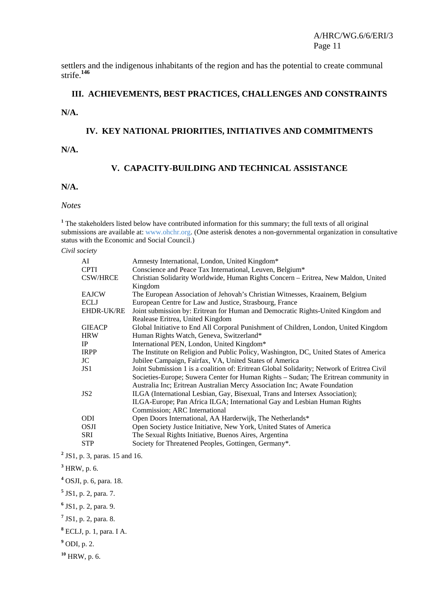settlers and the indigenous inhabitants of the region and has the potential to create communal strife.**<sup>146</sup>**

#### **III. ACHIEVEMENTS, BEST PRACTICES, CHALLENGES AND CONSTRAINTS**

**N/A.** 

#### **IV. KEY NATIONAL PRIORITIES, INITIATIVES AND COMMITMENTS**

**N/A.** 

#### **V. CAPACITY-BUILDING AND TECHNICAL ASSISTANCE**

#### **N/A.**

#### *Notes*

<sup>1</sup> The stakeholders listed below have contributed information for this summary; the full texts of all original submissions are available at: www.ohchr.org. (One asterisk denotes a non-governmental organization in consultative status with the Economic and Social Council.)

*Civil society* 

| AI              | Amnesty International, London, United Kingdom*                                             |
|-----------------|--------------------------------------------------------------------------------------------|
| <b>CPTI</b>     | Conscience and Peace Tax International, Leuven, Belgium*                                   |
| <b>CSW/HRCE</b> | Christian Solidarity Worldwide, Human Rights Concern - Eritrea, New Maldon, United         |
|                 | Kingdom                                                                                    |
| <b>EAJCW</b>    | The European Association of Jehovah's Christian Witnesses, Kraainem, Belgium               |
| <b>ECLJ</b>     | European Centre for Law and Justice, Strasbourg, France                                    |
| EHDR-UK/RE      | Joint submission by: Eritrean for Human and Democratic Rights-United Kingdom and           |
|                 | Realease Eritrea, United Kingdom                                                           |
| <b>GIEACP</b>   | Global Initiative to End All Corporal Punishment of Children, London, United Kingdom       |
| <b>HRW</b>      | Human Rights Watch, Geneva, Switzerland*                                                   |
| IP              | International PEN, London, United Kingdom*                                                 |
| <b>IRPP</b>     | The Institute on Religion and Public Policy, Washington, DC, United States of America      |
| JC.             | Jubilee Campaign, Fairfax, VA, United States of America                                    |
| JS1             | Joint Submission 1 is a coalition of: Eritrean Global Solidarity; Network of Eritrea Civil |
|                 | Societies-Europe; Suwera Center for Human Rights – Sudan; The Eritrean community in        |
|                 | Australia Inc; Eritrean Australian Mercy Association Inc; Awate Foundation                 |
| JS <sub>2</sub> | ILGA (International Lesbian, Gay, Bisexual, Trans and Intersex Association);               |
|                 | ILGA-Europe; Pan Africa ILGA; International Gay and Lesbian Human Rights                   |
|                 | Commission; ARC International                                                              |
| <b>ODI</b>      | Open Doors International, AA Harderwijk, The Netherlands*                                  |
| <b>OSJI</b>     | Open Society Justice Initiative, New York, United States of America                        |
| SRI             | The Sexual Rights Initiative, Buenos Aires, Argentina                                      |
| <b>STP</b>      | Society for Threatened Peoples, Gottingen, Germany*.                                       |

**2** JS1, p. 3, paras. 15 and 16.

- **5** JS1, p. 2, para. 7.
- **6** JS1, p. 2, para. 9.

**<sup>10</sup>** HRW, p. 6.

**<sup>3</sup>** HRW, p. 6.

**<sup>4</sup>** OSJI, p. 6, para. 18.

**<sup>7</sup>** JS1, p. 2, para. 8.

**<sup>8</sup>** ECLJ, p. 1, para. I A.

**<sup>9</sup>** ODI, p. 2.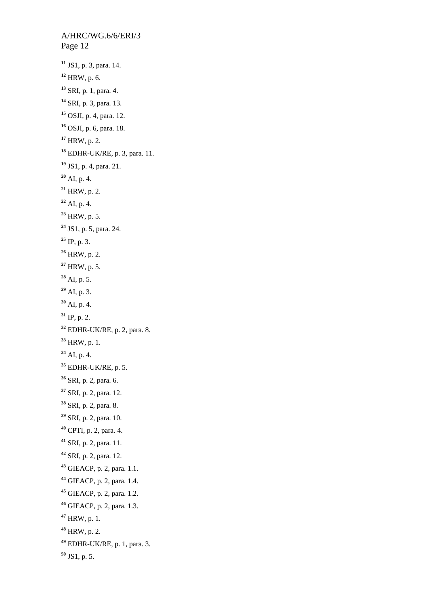A/HRC/WG.6/6/ERI/3 Page 12 JS1, p. 3, para. 14. HRW, p. 6. SRI, p. 1, para. 4. SRI, p. 3, para. 13. OSJI, p. 4, para. 12. OSJI, p. 6, para. 18. HRW, p. 2. EDHR-UK/RE, p. 3, para. 11. JS1, p. 4, para. 21. AI, p. 4. HRW, p. 2. AI, p. 4. HRW, p. 5. JS1, p. 5, para. 24. IP, p. 3. HRW, p. 2. HRW, p. 5. AI, p. 5. AI, p. 3. AI, p. 4. IP, p. 2. EDHR-UK/RE, p. 2, para. 8. HRW, p. 1. AI, p. 4. EDHR-UK/RE, p. 5. SRI, p. 2, para. 6. SRI, p. 2, para. 12. SRI, p. 2, para. 8. SRI, p. 2, para. 10. CPTI, p. 2, para. 4. SRI, p. 2, para. 11. SRI, p. 2, para. 12. GIEACP, p. 2, para. 1.1. GIEACP, p. 2, para. 1.4. GIEACP, p. 2, para. 1.2. GIEACP, p. 2, para. 1.3. HRW, p. 1. HRW, p. 2. EDHR-UK/RE, p. 1, para. 3. JS1, p. 5.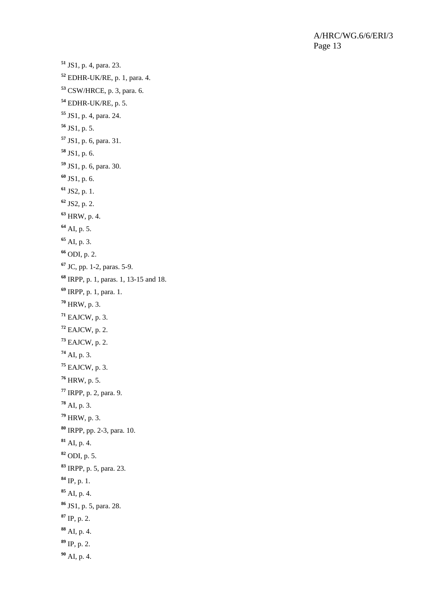A/HRC/WG.6/6/ERI/3 Page 13

```
51 JS1, p. 4, para. 23. 
52 EDHR-UK/RE, p. 1, para. 4. 
53 CSW/HRCE, p. 3, para. 6. 
54 EDHR-UK/RE, p. 5. 
55 JS1, p. 4, para. 24. 
56 JS1, p. 5. 
57 JS1, p. 6, para. 31. 
58 JS1, p. 6. 
59 JS1, p. 6, para. 30. 
60 JS1, p. 6. 
61 JS2, p. 1. 
62 JS2, p. 2. 
63 HRW, p. 4. 
64 AI, p. 5. 
65 AI, p. 3. 
66 ODI, p. 2. 
67 JC, pp. 1-2, paras. 5-9. 
68 IRPP, p. 1, paras. 1, 13-15 and 18. 
69 IRPP, p. 1, para. 1. 
70 HRW, p. 3. 
71 EAJCW, p. 3. 
72 EAJCW, p. 2. 
73 EAJCW, p. 2. 
74 AI, p. 3. 
75 EAJCW, p. 3. 
76 HRW, p. 5. 
77 IRPP, p. 2, para. 9. 
78 AI, p. 3. 
79 HRW, p. 3. 
80 IRPP, pp. 2-3, para. 10. 
81 AI, p. 4. 
82 ODI, p. 5. 
83 IRPP, p. 5, para. 23. 
84 IP, p. 1. 
85 AI, p. 4. 
86 JS1, p. 5, para. 28. 
87 IP, p. 2. 
88 AI, p. 4. 
89 IP, p. 2. 
90 AI, p. 4.
```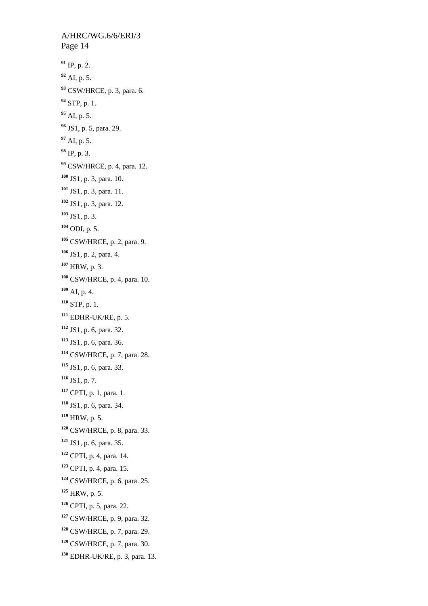A/HRC/WG.6/6/ERI/3 Page 14 IP, p. 2. AI, p. 5. CSW/HRCE, p. 3, para. 6. STP, p. 1. AI, p. 5. JS1, p. 5, para. 29. AI, p. 5. IP, p. 3. CSW/HRCE, p. 4, para. 12. JS1, p. 3, para. 10. JS1, p. 3, para. 11. JS1, p. 3, para. 12. JS1, p. 3. ODI, p. 5. CSW/HRCE, p. 2, para. 9. JS1, p. 2, para. 4. HRW, p. 3. CSW/HRCE, p. 4, para. 10. AI, p. 4. STP, p. 1. EDHR-UK/RE, p. 5. JS1, p. 6, para. 32. JS1, p. 6, para. 36. CSW/HRCE, p. 7, para. 28. JS1, p. 6, para. 33. JS1, p. 7. CPTI, p. 1, para. 1. JS1, p. 6, para. 34. HRW, p. 5. CSW/HRCE, p. 8, para. 33. JS1, p. 6, para. 35. CPTI, p. 4, para. 14. CPTI, p. 4, para. 15. CSW/HRCE, p. 6, para. 25. HRW, p. 5. CPTI, p. 5, para. 22. CSW/HRCE, p. 9, para. 32. CSW/HRCE, p. 7, para. 29. CSW/HRCE, p. 7, para. 30. EDHR-UK/RE, p. 3, para. 13.